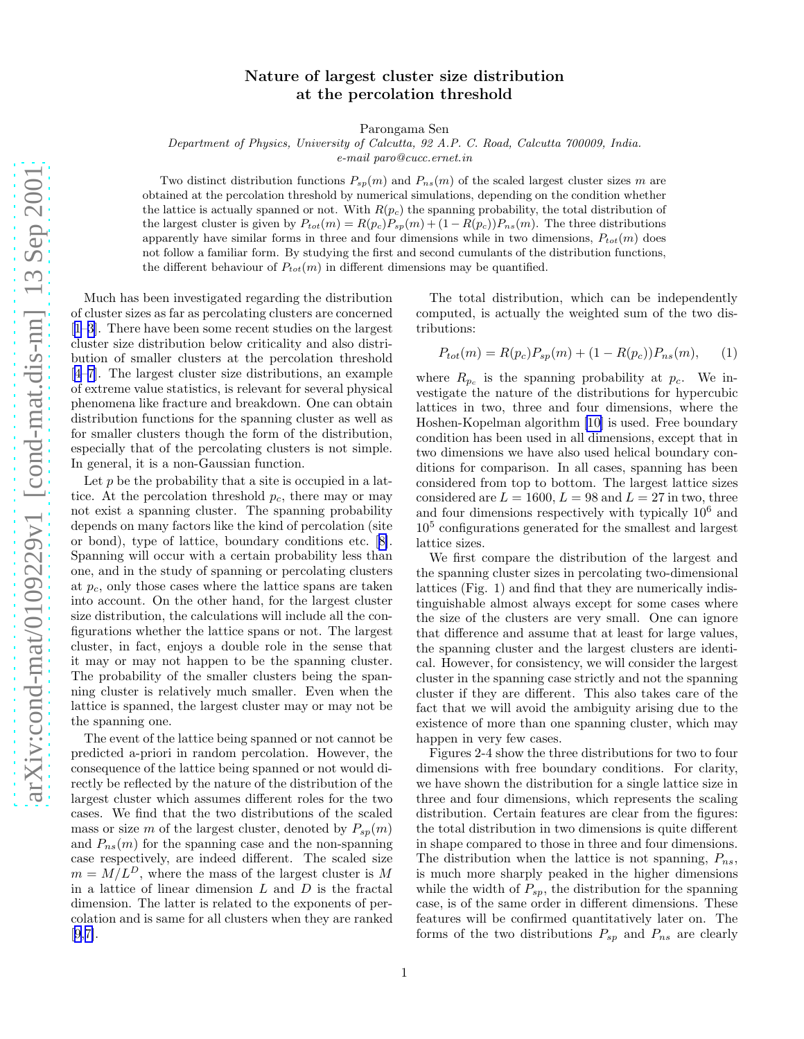## Nature of largest cluster size distribution at the percolation threshold

Parongama Sen

Department of Physics, University of Calcutta, 92 A.P. C. Road, Calcutta 700009, India.

e-mail paro@cucc.ernet.in

Two distribution functions  $P_{sp}(m)$  and  $P_{ns}(m)$  of the scaled largest cluster sizes m are obtained at the percolation threshold by numerical simulations, depending on the condition whether the lattice is actually spanned or not. With  $R(p_c)$  the spanning probability, the total distribution of the largest cluster is given by  $P_{tot}(m) = R(p_c)P_{sp}(m) + (1 - R(p_c))P_{ns}(m)$ . The three distributions apparently have similar forms in three and four dimensions while in two dimensions,  $P_{tot}(m)$  does not follow a familiar form. By studying the first and second cumulants of the distribution functions, the different behaviour of  $P_{tot}(m)$  in different dimensions may be quantified.

Much has been investigated regarding the distribution of cluster sizes as far as percolating clusters are concerned [[1–3\]](#page-2-0). There have been some recent studies on the largest cluster size distribution below criticality and also distribution of smaller clusters at the percolation threshold [[4–7\]](#page-2-0). The largest cluster size distributions, an example of extreme value statistics, is relevant for several physical phenomena like fracture and breakdown. One can obtain distribution functions for the spanning cluster as well as for smaller clusters though the form of the distribution, especially that of the percolating clusters is not simple. In general, it is a non-Gaussian function.

Let  $p$  be the probability that a site is occupied in a lattice. At the percolation threshold  $p_c$ , there may or may not exist a spanning cluster. The spanning probability depends on many factors like the kind of percolation (site or bond), type of lattice, boundary conditions etc.[[8\]](#page-2-0). Spanning will occur with a certain probability less than one, and in the study of spanning or percolating clusters at  $p_c$ , only those cases where the lattice spans are taken into account. On the other hand, for the largest cluster size distribution, the calculations will include all the configurations whether the lattice spans or not. The largest cluster, in fact, enjoys a double role in the sense that it may or may not happen to be the spanning cluster. The probability of the smaller clusters being the spanning cluster is relatively much smaller. Even when the lattice is spanned, the largest cluster may or may not be the spanning one.

The event of the lattice being spanned or not cannot be predicted a-priori in random percolation. However, the consequence of the lattice being spanned or not would directly be reflected by the nature of the distribution of the largest cluster which assumes different roles for the two cases. We find that the two distributions of the scaled mass or size m of the largest cluster, denoted by  $P_{sp}(m)$ and  $P_{ns}(m)$  for the spanning case and the non-spanning case respectively, are indeed different. The scaled size  $m = M/L<sup>D</sup>$ , where the mass of the largest cluster is M in a lattice of linear dimension  $L$  and  $D$  is the fractal dimension. The latter is related to the exponents of percolation and is same for all clusters when they are ranked [[9,7\]](#page-2-0).

The total distribution, which can be independently computed, is actually the weighted sum of the two distributions:

$$
P_{tot}(m) = R(p_c)P_{sp}(m) + (1 - R(p_c))P_{ns}(m), \qquad (1)
$$

where  $R_{p_c}$  is the spanning probability at  $p_c$ . We investigate the nature of the distributions for hypercubic lattices in two, three and four dimensions, where the Hoshen-Kopelman algorithm [\[10\]](#page-2-0) is used. Free boundary condition has been used in all dimensions, except that in two dimensions we have also used helical boundary conditions for comparison. In all cases, spanning has been considered from top to bottom. The largest lattice sizes considered are  $L = 1600$ ,  $L = 98$  and  $L = 27$  in two, three and four dimensions respectively with typically  $10<sup>6</sup>$  and 10<sup>5</sup> configurations generated for the smallest and largest lattice sizes.

We first compare the distribution of the largest and the spanning cluster sizes in percolating two-dimensional lattices (Fig. 1) and find that they are numerically indistinguishable almost always except for some cases where the size of the clusters are very small. One can ignore that difference and assume that at least for large values, the spanning cluster and the largest clusters are identical. However, for consistency, we will consider the largest cluster in the spanning case strictly and not the spanning cluster if they are different. This also takes care of the fact that we will avoid the ambiguity arising due to the existence of more than one spanning cluster, which may happen in very few cases.

Figures 2-4 show the three distributions for two to four dimensions with free boundary conditions. For clarity, we have shown the distribution for a single lattice size in three and four dimensions, which represents the scaling distribution. Certain features are clear from the figures: the total distribution in two dimensions is quite different in shape compared to those in three and four dimensions. The distribution when the lattice is not spanning,  $P_{ns}$ , is much more sharply peaked in the higher dimensions while the width of  $P_{sp}$ , the distribution for the spanning case, is of the same order in different dimensions. These features will be confirmed quantitatively later on. The forms of the two distributions  $P_{sp}$  and  $P_{ns}$  are clearly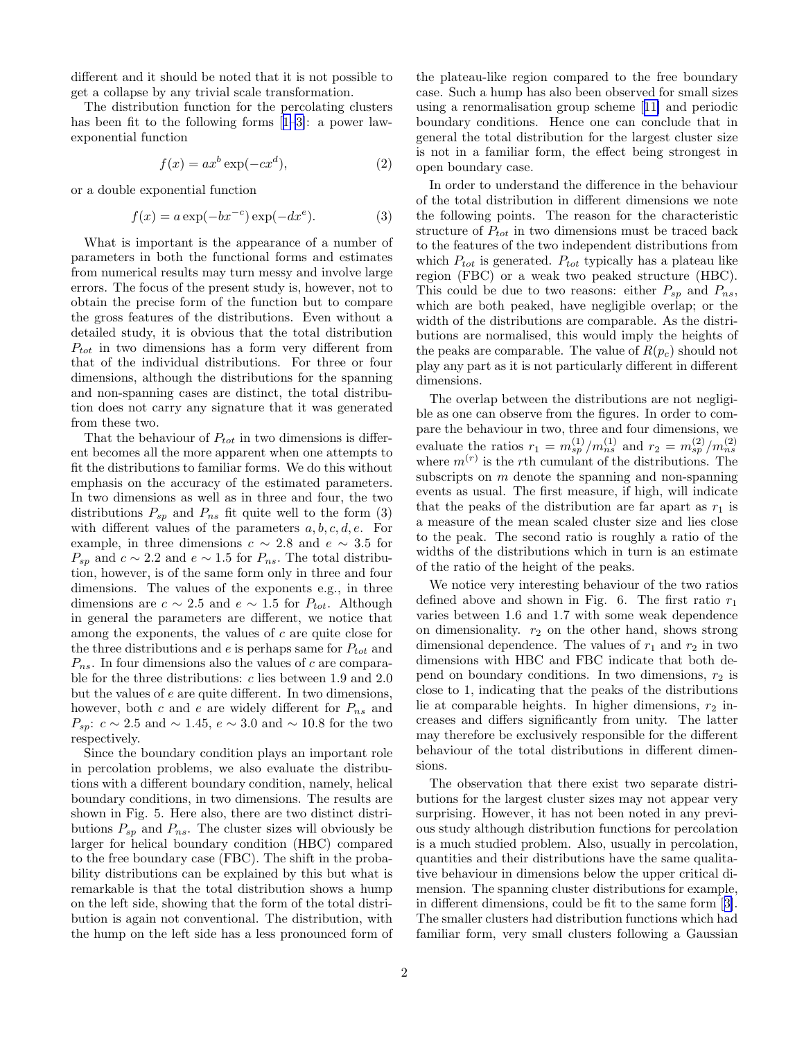different and it should be noted that it is not possible to get a collapse by any trivial scale transformation.

The distribution function for the percolating clusters has been fit to the following forms[[1–3\]](#page-2-0): a power lawexponential function

$$
f(x) = ax^b \exp(-cx^d),
$$
 (2)

or a double exponential function

$$
f(x) = a \exp(-bx^{-c}) \exp(-dx^{e}).
$$
 (3)

What is important is the appearance of a number of parameters in both the functional forms and estimates from numerical results may turn messy and involve large errors. The focus of the present study is, however, not to obtain the precise form of the function but to compare the gross features of the distributions. Even without a detailed study, it is obvious that the total distribution  $P_{tot}$  in two dimensions has a form very different from that of the individual distributions. For three or four dimensions, although the distributions for the spanning and non-spanning cases are distinct, the total distribution does not carry any signature that it was generated from these two.

That the behaviour of  $P_{tot}$  in two dimensions is different becomes all the more apparent when one attempts to fit the distributions to familiar forms. We do this without emphasis on the accuracy of the estimated parameters. In two dimensions as well as in three and four, the two distributions  $P_{sp}$  and  $P_{ns}$  fit quite well to the form (3) with different values of the parameters  $a, b, c, d, e$ . For example, in three dimensions  $c \sim 2.8$  and  $e \sim 3.5$  for  $P_{sp}$  and  $c \sim 2.2$  and  $e \sim 1.5$  for  $P_{ns}$ . The total distribution, however, is of the same form only in three and four dimensions. The values of the exponents e.g., in three dimensions are  $c \sim 2.5$  and  $e \sim 1.5$  for  $P_{tot}$ . Although in general the parameters are different, we notice that among the exponents, the values of c are quite close for the three distributions and  $e$  is perhaps same for  $P_{tot}$  and  $P_{ns}$ . In four dimensions also the values of c are comparable for the three distributions: c lies between 1.9 and 2.0 but the values of e are quite different. In two dimensions, however, both c and e are widely different for  $P_{ns}$  and  $P_{sp}: c \sim 2.5$  and  $\sim 1.45, e \sim 3.0$  and  $\sim 10.8$  for the two respectively.

Since the boundary condition plays an important role in percolation problems, we also evaluate the distributions with a different boundary condition, namely, helical boundary conditions, in two dimensions. The results are shown in Fig. 5. Here also, there are two distinct distributions  $P_{sp}$  and  $P_{ns}$ . The cluster sizes will obviously be larger for helical boundary condition (HBC) compared to the free boundary case (FBC). The shift in the probability distributions can be explained by this but what is remarkable is that the total distribution shows a hump on the left side, showing that the form of the total distribution is again not conventional. The distribution, with the hump on the left side has a less pronounced form of the plateau-like region compared to the free boundary case. Such a hump has also been observed for small sizes using a renormalisation group scheme[[11\]](#page-2-0) and periodic boundary conditions. Hence one can conclude that in general the total distribution for the largest cluster size is not in a familiar form, the effect being strongest in open boundary case.

In order to understand the difference in the behaviour of the total distribution in different dimensions we note the following points. The reason for the characteristic structure of  $P_{tot}$  in two dimensions must be traced back to the features of the two independent distributions from which  $P_{tot}$  is generated.  $P_{tot}$  typically has a plateau like region (FBC) or a weak two peaked structure (HBC). This could be due to two reasons: either  $P_{sp}$  and  $P_{ns}$ , which are both peaked, have negligible overlap; or the width of the distributions are comparable. As the distributions are normalised, this would imply the heights of the peaks are comparable. The value of  $R(p_c)$  should not play any part as it is not particularly different in different dimensions.

The overlap between the distributions are not negligible as one can observe from the figures. In order to compare the behaviour in two, three and four dimensions, we evaluate the ratios  $r_1 = m_{sp}^{(1)}/m_{ns}^{(1)}$  and  $r_2 = m_{sp}^{(2)}/m_{ns}^{(2)}$ <br>where  $m^{(r)}$  is the rth cumulant of the distributions. The subscripts on  $m$  denote the spanning and non-spanning events as usual. The first measure, if high, will indicate that the peaks of the distribution are far apart as  $r_1$  is a measure of the mean scaled cluster size and lies close to the peak. The second ratio is roughly a ratio of the widths of the distributions which in turn is an estimate of the ratio of the height of the peaks.

We notice very interesting behaviour of the two ratios defined above and shown in Fig. 6. The first ratio  $r_1$ varies between 1.6 and 1.7 with some weak dependence on dimensionality.  $r_2$  on the other hand, shows strong dimensional dependence. The values of  $r_1$  and  $r_2$  in two dimensions with HBC and FBC indicate that both depend on boundary conditions. In two dimensions,  $r_2$  is close to 1, indicating that the peaks of the distributions lie at comparable heights. In higher dimensions,  $r_2$  increases and differs significantly from unity. The latter may therefore be exclusively responsible for the different behaviour of the total distributions in different dimensions.

The observation that there exist two separate distributions for the largest cluster sizes may not appear very surprising. However, it has not been noted in any previous study although distribution functions for percolation is a much studied problem. Also, usually in percolation, quantities and their distributions have the same qualitative behaviour in dimensions below the upper critical dimension. The spanning cluster distributions for example, in different dimensions, could be fit to the same form[[3\]](#page-2-0). The smaller clusters had distribution functions which had familiar form, very small clusters following a Gaussian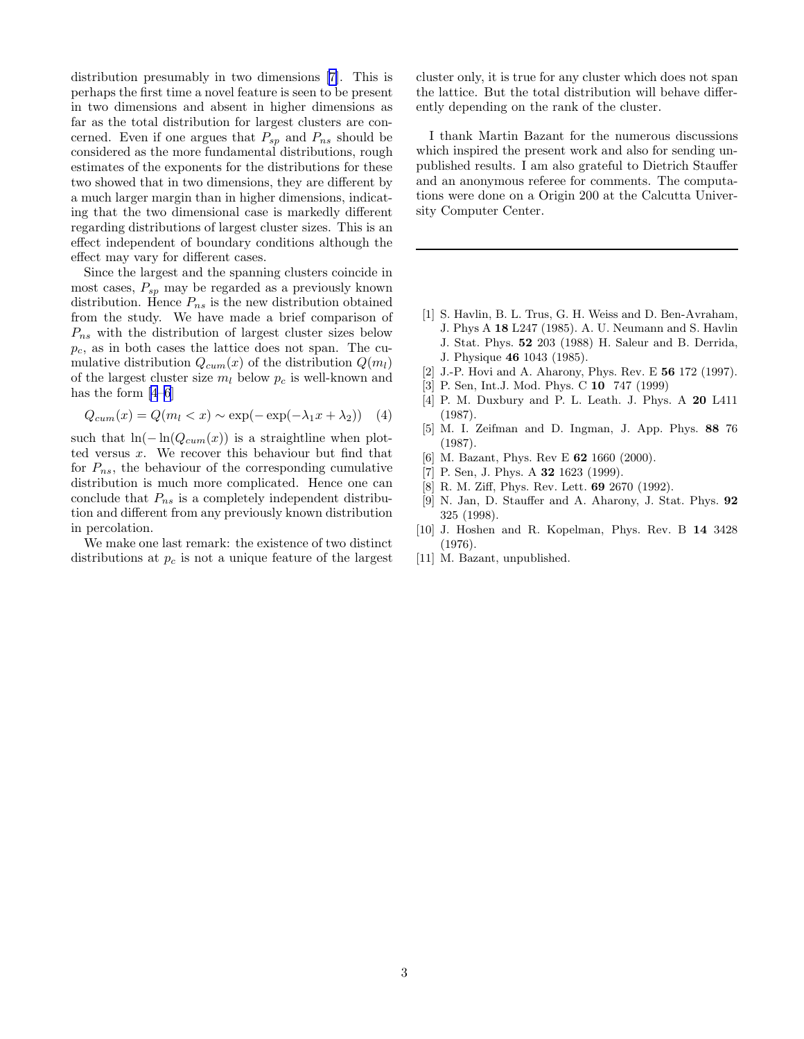<span id="page-2-0"></span>distribution presumably in two dimensions [7]. This is perhaps the first time a novel feature is seen to be present in two dimensions and absent in higher dimensions as far as the total distribution for largest clusters are concerned. Even if one argues that  $P_{sp}$  and  $P_{ns}$  should be considered as the more fundamental distributions, rough estimates of the exponents for the distributions for these two showed that in two dimensions, they are different by a much larger margin than in higher dimensions, indicating that the two dimensional case is markedly different regarding distributions of largest cluster sizes. This is an effect independent of boundary conditions although the effect may vary for different cases.

Since the largest and the spanning clusters coincide in most cases,  $P_{sp}$  may be regarded as a previously known distribution. Hence  $P_{ns}$  is the new distribution obtained from the study. We have made a brief comparison of  $P_{ns}$  with the distribution of largest cluster sizes below  $p_c$ , as in both cases the lattice does not span. The cumulative distribution  $Q_{cum}(x)$  of the distribution  $Q(m_l)$ of the largest cluster size  $m_l$  below  $p_c$  is well-known and has the form [4–6]

$$
Q_{cum}(x) = Q(m_l < x) \sim \exp(-\exp(-\lambda_1 x + \lambda_2)) \quad (4)
$$

such that  $ln(-ln(Q_{cum}(x))$  is a straightline when plotted versus x. We recover this behaviour but find that for  $P_{ns}$ , the behaviour of the corresponding cumulative distribution is much more complicated. Hence one can conclude that  $P_{ns}$  is a completely independent distribution and different from any previously known distribution in percolation.

We make one last remark: the existence of two distinct distributions at  $p_c$  is not a unique feature of the largest cluster only, it is true for any cluster which does not span the lattice. But the total distribution will behave differently depending on the rank of the cluster.

I thank Martin Bazant for the numerous discussions which inspired the present work and also for sending unpublished results. I am also grateful to Dietrich Stauffer and an anonymous referee for comments. The computations were done on a Origin 200 at the Calcutta University Computer Center.

- [1] S. Havlin, B. L. Trus, G. H. Weiss and D. Ben-Avraham, J. Phys A 18 L247 (1985). A. U. Neumann and S. Havlin J. Stat. Phys. 52 203 (1988) H. Saleur and B. Derrida, J. Physique 46 1043 (1985).
- [2] J.-P. Hovi and A. Aharony, Phys. Rev. E 56 172 (1997).
- [3] P. Sen, Int.J. Mod. Phys. C 10 747 (1999)
- [4] P. M. Duxbury and P. L. Leath. J. Phys. A 20 L411 (1987).
- [5] M. I. Zeifman and D. Ingman, J. App. Phys. 88 76 (1987).
- [6] M. Bazant, Phys. Rev E 62 1660 (2000).
- [7] P. Sen, J. Phys. A 32 1623 (1999).
- [8] R. M. Ziff, Phys. Rev. Lett. 69 2670 (1992).
- [9] N. Jan, D. Stauffer and A. Aharony, J. Stat. Phys. 92 325 (1998).
- [10] J. Hoshen and R. Kopelman, Phys. Rev. B 14 3428 (1976).
- [11] M. Bazant, unpublished.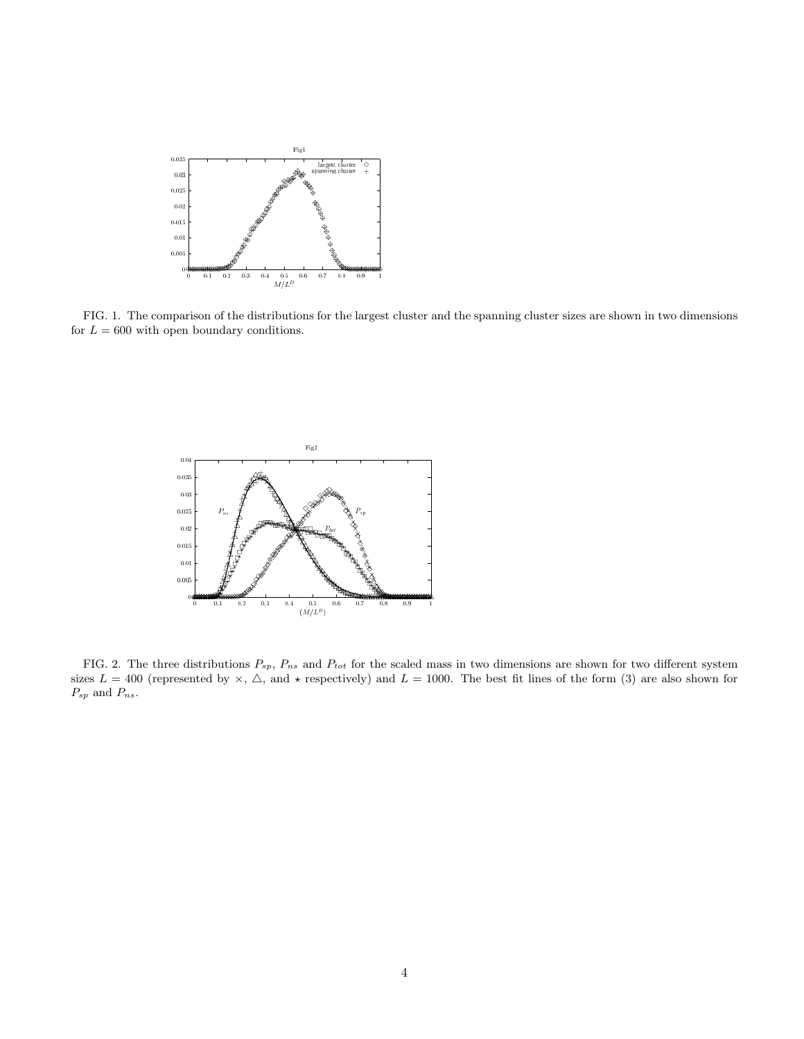

FIG. 1. The comparison of the distributions for the largest cluster and the spanning cluster sizes are shown in two dimensions for  $L = 600$  with open boundary conditions.



FIG. 2. The three distributions  $P_{sp}$ ,  $P_{ns}$  and  $P_{tot}$  for the scaled mass in two dimensions are shown for two different system sizes  $L = 400$  (represented by  $\times$ ,  $\Delta$ , and  $\star$  respectively) and  $L = 1000$ . The best fit lines of the form (3) are also shown for  $\mathcal{P}_{sp}$  and  $\mathcal{P}_{ns}.$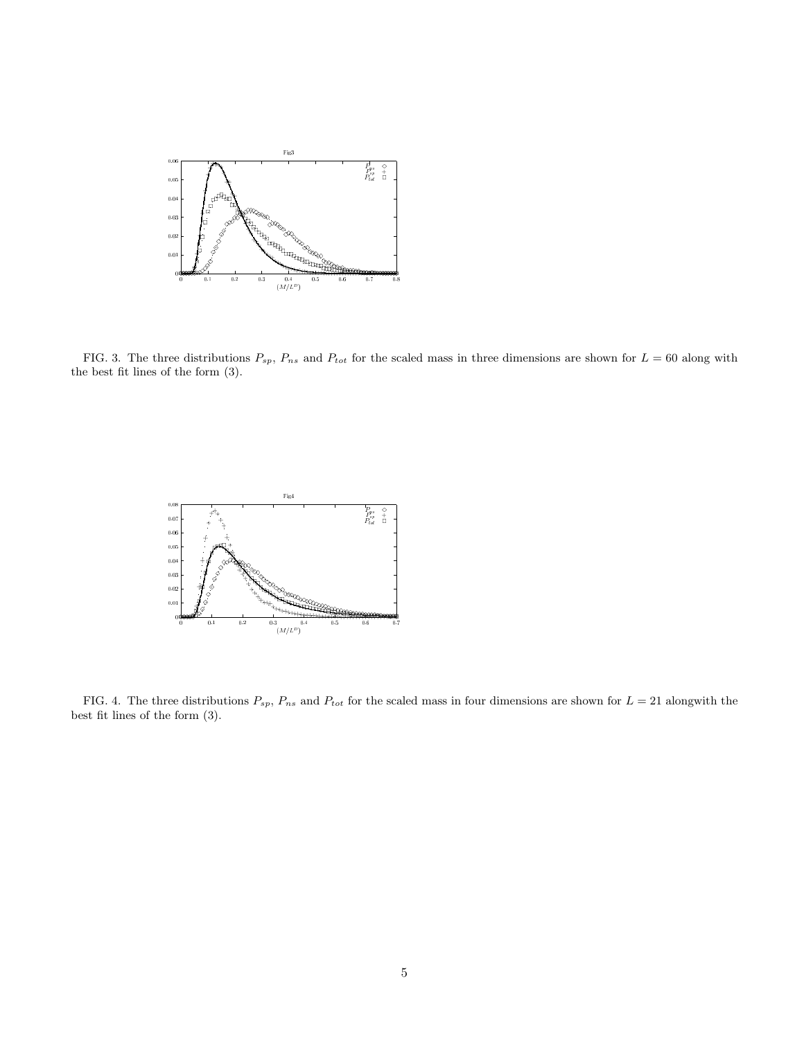

FIG. 3. The three distributions  $P_{sp}$ ,  $P_{ns}$  and  $P_{tot}$  for the scaled mass in three dimensions are shown for  $L = 60$  along with the best fit lines of the form (3).



FIG. 4. The three distributions  $P_{sp}$ ,  $P_{ns}$  and  $P_{tot}$  for the scaled mass in four dimensions are shown for  $L = 21$  alongwith the best fit lines of the form (3).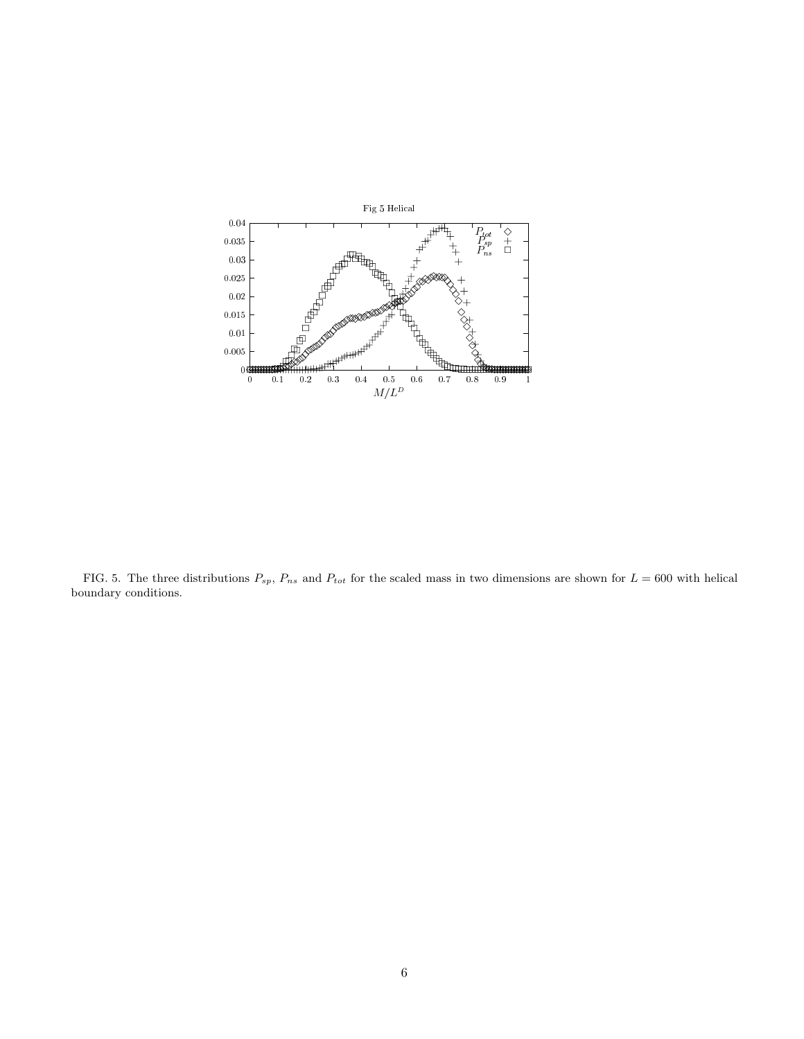

FIG. 5. The three distributions  $P_{sp}$ ,  $P_{ns}$  and  $P_{tot}$  for the scaled mass in two dimensions are shown for  $L = 600$  with helical boundary conditions.